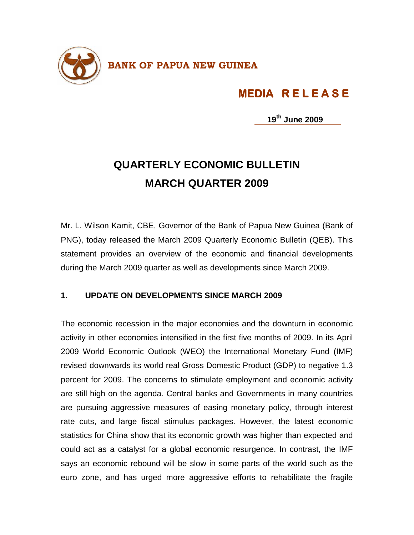

## **MEDIA R E L E A S E MEDIA R E L E A S E S E**

**19th June 2009**

## **QUARTERLY ECONOMIC BULLETIN MARCH QUARTER 2009**

Mr. L. Wilson Kamit, CBE, Governor of the Bank of Papua New Guinea (Bank of PNG), today released the March 2009 Quarterly Economic Bulletin (QEB). This statement provides an overview of the economic and financial developments during the March 2009 quarter as well as developments since March 2009.

## **1. UPDATE ON DEVELOPMENTS SINCE MARCH 2009**

The economic recession in the major economies and the downturn in economic activity in other economies intensified in the first five months of 2009. In its April 2009 World Economic Outlook (WEO) the International Monetary Fund (IMF) revised downwards its world real Gross Domestic Product (GDP) to negative 1.3 percent for 2009. The concerns to stimulate employment and economic activity are still high on the agenda. Central banks and Governments in many countries are pursuing aggressive measures of easing monetary policy, through interest rate cuts, and large fiscal stimulus packages. However, the latest economic statistics for China show that its economic growth was higher than expected and could act as a catalyst for a global economic resurgence. In contrast, the IMF says an economic rebound will be slow in some parts of the world such as the euro zone, and has urged more aggressive efforts to rehabilitate the fragile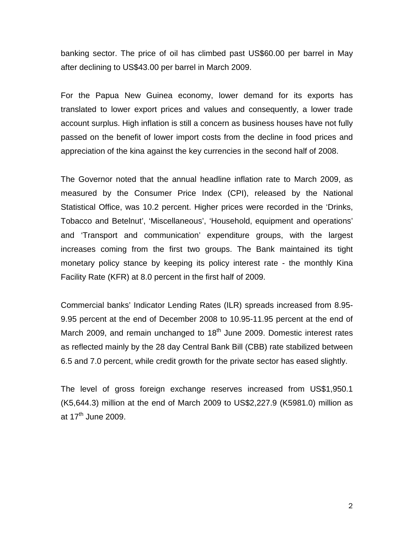banking sector. The price of oil has climbed past US\$60.00 per barrel in May after declining to US\$43.00 per barrel in March 2009.

For the Papua New Guinea economy, lower demand for its exports has translated to lower export prices and values and consequently, a lower trade account surplus. High inflation is still a concern as business houses have not fully passed on the benefit of lower import costs from the decline in food prices and appreciation of the kina against the key currencies in the second half of 2008.

The Governor noted that the annual headline inflation rate to March 2009, as measured by the Consumer Price Index (CPI), released by the National Statistical Office, was 10.2 percent. Higher prices were recorded in the 'Drinks, Tobacco and Betelnut', 'Miscellaneous', 'Household, equipment and operations' and 'Transport and communication' expenditure groups, with the largest increases coming from the first two groups. The Bank maintained its tight monetary policy stance by keeping its policy interest rate - the monthly Kina Facility Rate (KFR) at 8.0 percent in the first half of 2009.

Commercial banks' Indicator Lending Rates (ILR) spreads increased from 8.95- 9.95 percent at the end of December 2008 to 10.95-11.95 percent at the end of March 2009, and remain unchanged to  $18<sup>th</sup>$  June 2009. Domestic interest rates as reflected mainly by the 28 day Central Bank Bill (CBB) rate stabilized between 6.5 and 7.0 percent, while credit growth for the private sector has eased slightly.

The level of gross foreign exchange reserves increased from US\$1,950.1 (K5,644.3) million at the end of March 2009 to US\$2,227.9 (K5981.0) million as at  $17^{\text{th}}$  June 2009.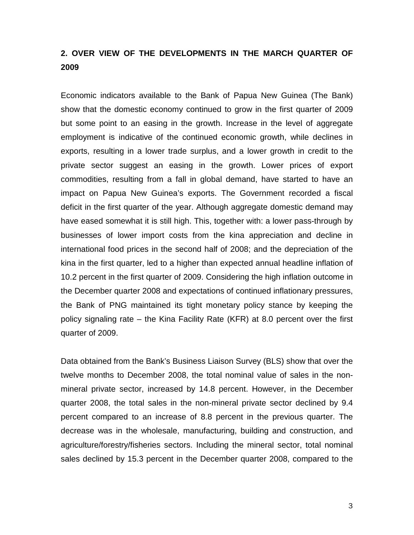## **2. OVER VIEW OF THE DEVELOPMENTS IN THE MARCH QUARTER OF 2009**

Economic indicators available to the Bank of Papua New Guinea (The Bank) show that the domestic economy continued to grow in the first quarter of 2009 but some point to an easing in the growth. Increase in the level of aggregate employment is indicative of the continued economic growth, while declines in exports, resulting in a lower trade surplus, and a lower growth in credit to the private sector suggest an easing in the growth. Lower prices of export commodities, resulting from a fall in global demand, have started to have an impact on Papua New Guinea's exports. The Government recorded a fiscal deficit in the first quarter of the year. Although aggregate domestic demand may have eased somewhat it is still high. This, together with: a lower pass-through by businesses of lower import costs from the kina appreciation and decline in international food prices in the second half of 2008; and the depreciation of the kina in the first quarter, led to a higher than expected annual headline inflation of 10.2 percent in the first quarter of 2009. Considering the high inflation outcome in the December quarter 2008 and expectations of continued inflationary pressures, the Bank of PNG maintained its tight monetary policy stance by keeping the policy signaling rate – the Kina Facility Rate (KFR) at 8.0 percent over the first quarter of 2009.

Data obtained from the Bank's Business Liaison Survey (BLS) show that over the twelve months to December 2008, the total nominal value of sales in the nonmineral private sector, increased by 14.8 percent. However, in the December quarter 2008, the total sales in the non-mineral private sector declined by 9.4 percent compared to an increase of 8.8 percent in the previous quarter. The decrease was in the wholesale, manufacturing, building and construction, and agriculture/forestry/fisheries sectors. Including the mineral sector, total nominal sales declined by 15.3 percent in the December quarter 2008, compared to the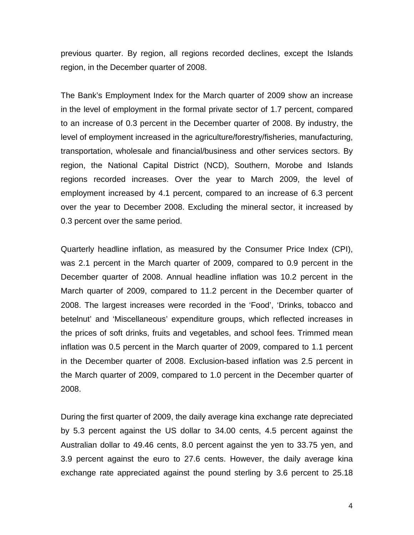previous quarter. By region, all regions recorded declines, except the Islands region, in the December quarter of 2008.

The Bank's Employment Index for the March quarter of 2009 show an increase in the level of employment in the formal private sector of 1.7 percent, compared to an increase of 0.3 percent in the December quarter of 2008. By industry, the level of employment increased in the agriculture/forestry/fisheries, manufacturing, transportation, wholesale and financial/business and other services sectors. By region, the National Capital District (NCD), Southern, Morobe and Islands regions recorded increases. Over the year to March 2009, the level of employment increased by 4.1 percent, compared to an increase of 6.3 percent over the year to December 2008. Excluding the mineral sector, it increased by 0.3 percent over the same period.

Quarterly headline inflation, as measured by the Consumer Price Index (CPI), was 2.1 percent in the March quarter of 2009, compared to 0.9 percent in the December quarter of 2008. Annual headline inflation was 10.2 percent in the March quarter of 2009, compared to 11.2 percent in the December quarter of 2008. The largest increases were recorded in the 'Food', 'Drinks, tobacco and betelnut' and 'Miscellaneous' expenditure groups, which reflected increases in the prices of soft drinks, fruits and vegetables, and school fees. Trimmed mean inflation was 0.5 percent in the March quarter of 2009, compared to 1.1 percent in the December quarter of 2008. Exclusion-based inflation was 2.5 percent in the March quarter of 2009, compared to 1.0 percent in the December quarter of 2008.

During the first quarter of 2009, the daily average kina exchange rate depreciated by 5.3 percent against the US dollar to 34.00 cents, 4.5 percent against the Australian dollar to 49.46 cents, 8.0 percent against the yen to 33.75 yen, and 3.9 percent against the euro to 27.6 cents. However, the daily average kina exchange rate appreciated against the pound sterling by 3.6 percent to 25.18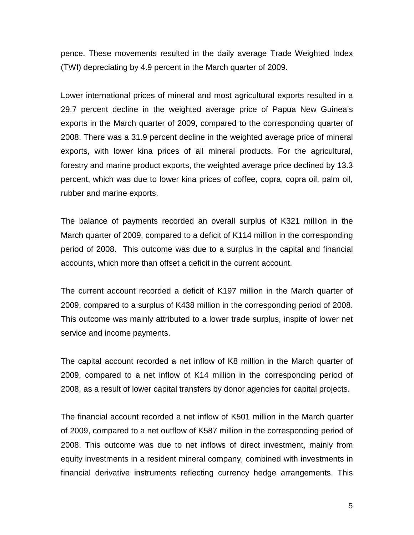pence. These movements resulted in the daily average Trade Weighted Index (TWI) depreciating by 4.9 percent in the March quarter of 2009.

Lower international prices of mineral and most agricultural exports resulted in a 29.7 percent decline in the weighted average price of Papua New Guinea's exports in the March quarter of 2009, compared to the corresponding quarter of 2008. There was a 31.9 percent decline in the weighted average price of mineral exports, with lower kina prices of all mineral products. For the agricultural, forestry and marine product exports, the weighted average price declined by 13.3 percent, which was due to lower kina prices of coffee, copra, copra oil, palm oil, rubber and marine exports.

The balance of payments recorded an overall surplus of K321 million in the March quarter of 2009, compared to a deficit of K114 million in the corresponding period of 2008. This outcome was due to a surplus in the capital and financial accounts, which more than offset a deficit in the current account.

The current account recorded a deficit of K197 million in the March quarter of 2009, compared to a surplus of K438 million in the corresponding period of 2008. This outcome was mainly attributed to a lower trade surplus, inspite of lower net service and income payments.

The capital account recorded a net inflow of K8 million in the March quarter of 2009, compared to a net inflow of K14 million in the corresponding period of 2008, as a result of lower capital transfers by donor agencies for capital projects.

The financial account recorded a net inflow of K501 million in the March quarter of 2009, compared to a net outflow of K587 million in the corresponding period of 2008. This outcome was due to net inflows of direct investment, mainly from equity investments in a resident mineral company, combined with investments in financial derivative instruments reflecting currency hedge arrangements. This

5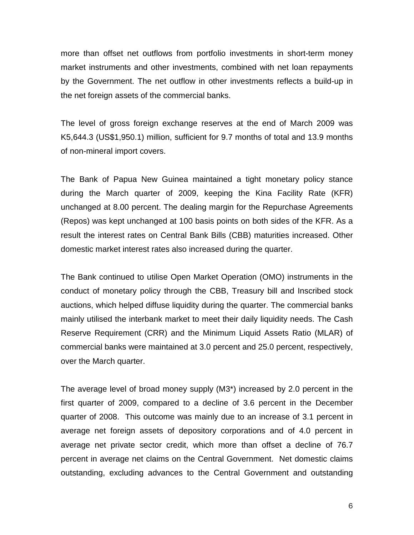more than offset net outflows from portfolio investments in short-term money market instruments and other investments, combined with net loan repayments by the Government. The net outflow in other investments reflects a build-up in the net foreign assets of the commercial banks.

The level of gross foreign exchange reserves at the end of March 2009 was K5,644.3 (US\$1,950.1) million, sufficient for 9.7 months of total and 13.9 months of non-mineral import covers.

The Bank of Papua New Guinea maintained a tight monetary policy stance during the March quarter of 2009, keeping the Kina Facility Rate (KFR) unchanged at 8.00 percent. The dealing margin for the Repurchase Agreements (Repos) was kept unchanged at 100 basis points on both sides of the KFR. As a result the interest rates on Central Bank Bills (CBB) maturities increased. Other domestic market interest rates also increased during the quarter.

The Bank continued to utilise Open Market Operation (OMO) instruments in the conduct of monetary policy through the CBB, Treasury bill and Inscribed stock auctions, which helped diffuse liquidity during the quarter. The commercial banks mainly utilised the interbank market to meet their daily liquidity needs. The Cash Reserve Requirement (CRR) and the Minimum Liquid Assets Ratio (MLAR) of commercial banks were maintained at 3.0 percent and 25.0 percent, respectively, over the March quarter.

The average level of broad money supply (M3\*) increased by 2.0 percent in the first quarter of 2009, compared to a decline of 3.6 percent in the December quarter of 2008. This outcome was mainly due to an increase of 3.1 percent in average net foreign assets of depository corporations and of 4.0 percent in average net private sector credit, which more than offset a decline of 76.7 percent in average net claims on the Central Government. Net domestic claims outstanding, excluding advances to the Central Government and outstanding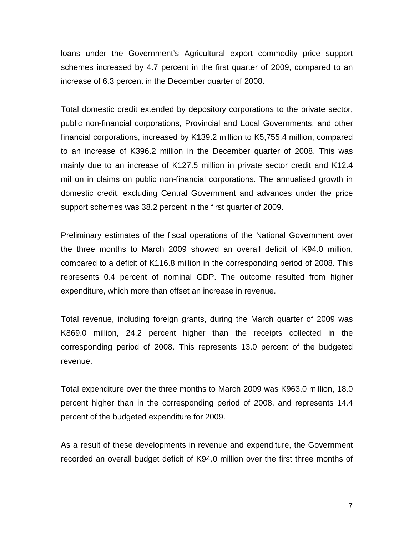loans under the Government's Agricultural export commodity price support schemes increased by 4.7 percent in the first quarter of 2009, compared to an increase of 6.3 percent in the December quarter of 2008.

Total domestic credit extended by depository corporations to the private sector, public non-financial corporations, Provincial and Local Governments, and other financial corporations, increased by K139.2 million to K5,755.4 million, compared to an increase of K396.2 million in the December quarter of 2008. This was mainly due to an increase of K127.5 million in private sector credit and K12.4 million in claims on public non-financial corporations. The annualised growth in domestic credit, excluding Central Government and advances under the price support schemes was 38.2 percent in the first quarter of 2009.

Preliminary estimates of the fiscal operations of the National Government over the three months to March 2009 showed an overall deficit of K94.0 million, compared to a deficit of K116.8 million in the corresponding period of 2008. This represents 0.4 percent of nominal GDP. The outcome resulted from higher expenditure, which more than offset an increase in revenue.

Total revenue, including foreign grants, during the March quarter of 2009 was K869.0 million, 24.2 percent higher than the receipts collected in the corresponding period of 2008. This represents 13.0 percent of the budgeted revenue.

Total expenditure over the three months to March 2009 was K963.0 million, 18.0 percent higher than in the corresponding period of 2008, and represents 14.4 percent of the budgeted expenditure for 2009.

As a result of these developments in revenue and expenditure, the Government recorded an overall budget deficit of K94.0 million over the first three months of